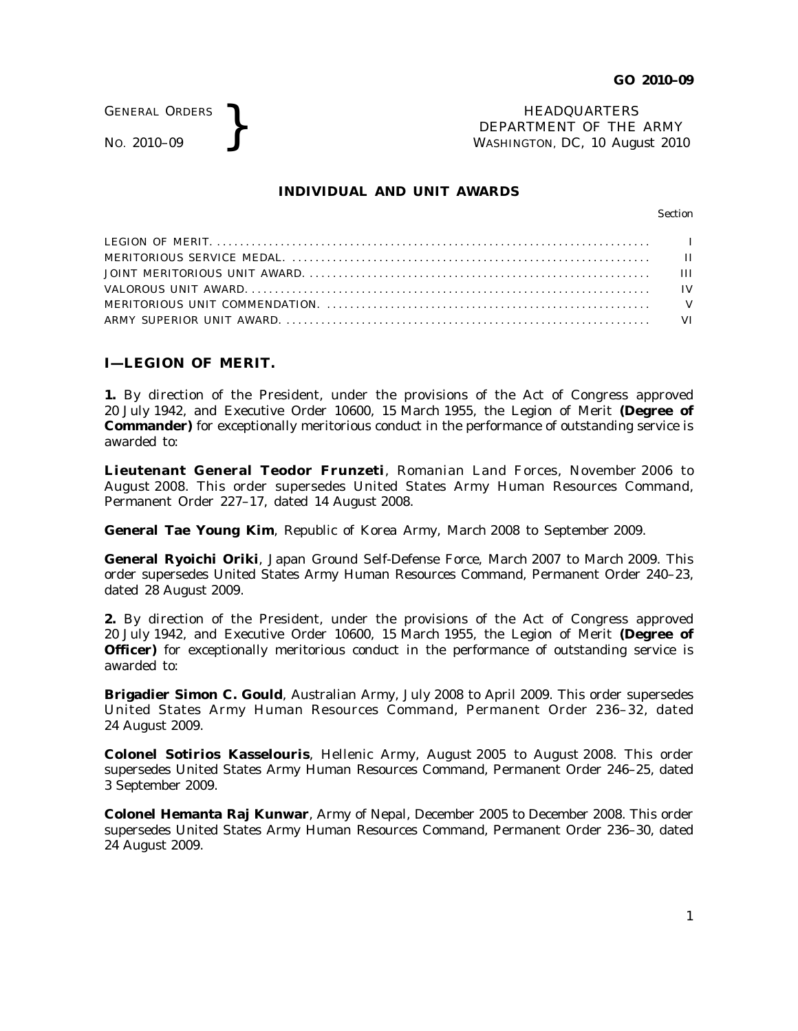GENERAL ORDERS

GENERAL ORDERS **}**<br>No. 2010–09 **}**<br>No. 2010–09 **}**<br>NASHINGTON, DC, 10 Augu DEPARTMENT OF THE ARMY WASHINGTON, DC, *10 August 2010*

# **INDIVIDUAL AND UNIT AWARDS**

Section

# **I—LEGION OF MERIT.**

**1.** By direction of the President, under the provisions of the Act of Congress approved 20 July 1942, and Executive Order 10600, 15 March 1955, the Legion of Merit **(Degree of Commander)** for exceptionally meritorious conduct in the performance of outstanding service is awarded to:

**Lieutenant General Teodor Frunzeti**, Romanian Land Forces, November 2006 to August 2008. This order supersedes United States Army Human Resources Command, Permanent Order 227–17, dated 14 August 2008.

**General Tae Young Kim**, Republic of Korea Army, March 2008 to September 2009.

**General Ryoichi Oriki**, Japan Ground Self-Defense Force, March 2007 to March 2009. This order supersedes United States Army Human Resources Command, Permanent Order 240–23, dated 28 August 2009.

**2.** By direction of the President, under the provisions of the Act of Congress approved 20 July 1942, and Executive Order 10600, 15 March 1955, the Legion of Merit **(Degree of Officer)** for exceptionally meritorious conduct in the performance of outstanding service is awarded to:

**Brigadier Simon C. Gould**, Australian Army, July 2008 to April 2009. This order supersedes United States Army Human Resources Command, Permanent Order 236-32, dated 24 August 2009.

**Colonel Sotirios Kasselouris**, Hellenic Army, August 2005 to August 2008. This order supersedes United States Army Human Resources Command, Permanent Order 246–25, dated 3 September 2009.

**Colonel Hemanta Raj Kunwar**, Army of Nepal, December 2005 to December 2008. This order supersedes United States Army Human Resources Command, Permanent Order 236–30, dated 24 August 2009.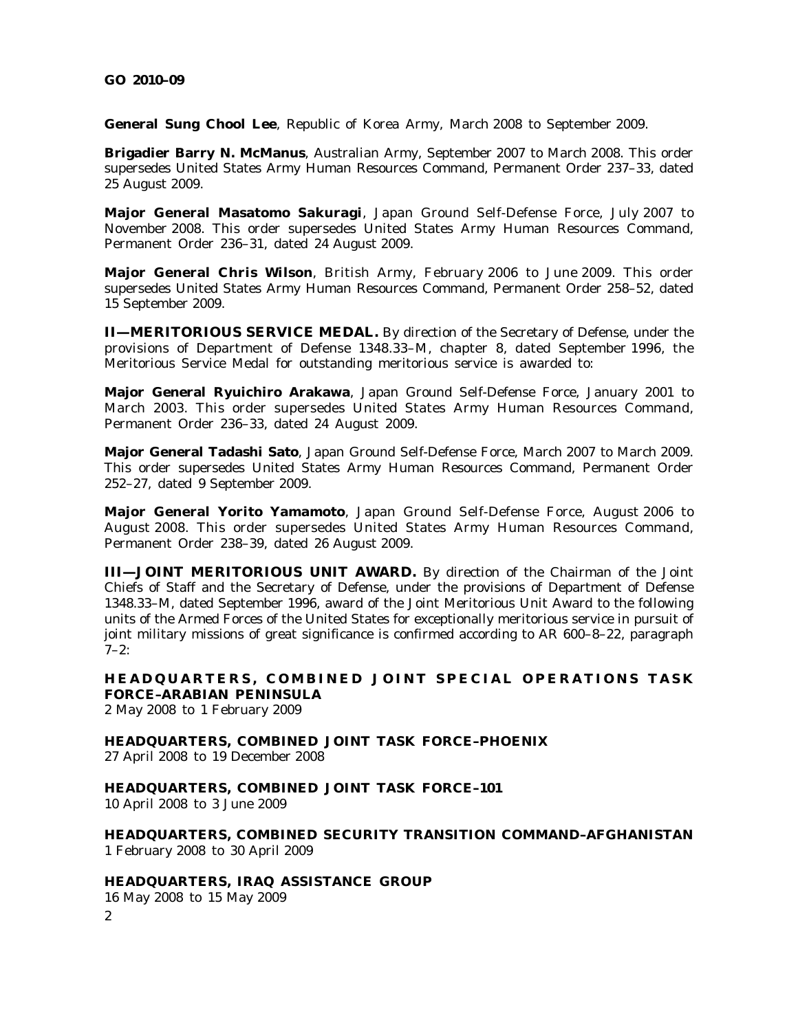**General Sung Chool Lee**, Republic of Korea Army, March 2008 to September 2009.

**Brigadier Barry N. McManus**, Australian Army, September 2007 to March 2008. This order supersedes United States Army Human Resources Command, Permanent Order 237–33, dated 25 August 2009.

Major General Masatomo Sakuragi, Japan Ground Self-Defense Force, July 2007 to November 2008. This order supersedes United States Army Human Resources Command, Permanent Order 236–31, dated 24 August 2009.

**Major General Chris Wilson**, British Army, February 2006 to June 2009. This order supersedes United States Army Human Resources Command, Permanent Order 258–52, dated 15 September 2009.

**II—MERITORIOUS SERVICE MEDAL.** By direction of the Secretary of Defense, under the provisions of Department of Defense 1348.33–M, chapter 8, dated September 1996, the Meritorious Service Medal for outstanding meritorious service is awarded to:

**Major General Ryuichiro Arakawa**, Japan Ground Self-Defense Force, January 2001 to March 2003. This order supersedes United States Army Human Resources Command, Permanent Order 236–33, dated 24 August 2009.

**Major General Tadashi Sato**, Japan Ground Self-Defense Force, March 2007 to March 2009. This order supersedes United States Army Human Resources Command, Permanent Order 252–27, dated 9 September 2009.

**Major General Yorito Yamamoto**, Japan Ground Self-Defense Force, August 2006 to August 2008. This order supersedes United States Army Human Resources Command, Permanent Order 238–39, dated 26 August 2009.

**III—JOINT MERITORIOUS UNIT AWARD.** By direction of the Chairman of the Joint Chiefs of Staff and the Secretary of Defense, under the provisions of Department of Defense 1348.33–M, dated September 1996, award of the Joint Meritorious Unit Award to the following units of the Armed Forces of the United States for exceptionally meritorious service in pursuit of joint military missions of great significance is confirmed according to AR 600–8–22, paragraph  $7-2$ :

**HEADQUARTERS, COMBINED JOINT SPECIAL OPERATIONS TASK FORCE–ARABIAN PENINSULA**

2 May 2008 to 1 February 2009

**HEADQUARTERS, COMBINED JOINT TASK FORCE–PHOENIX** 27 April 2008 to 19 December 2008

**HEADQUARTERS, COMBINED JOINT TASK FORCE–101**

10 April 2008 to 3 June 2009

**HEADQUARTERS, COMBINED SECURITY TRANSITION COMMAND–AFGHANISTAN** 1 February 2008 to 30 April 2009

## **HEADQUARTERS, IRAQ ASSISTANCE GROUP**

16 May 2008 to 15 May 2009 2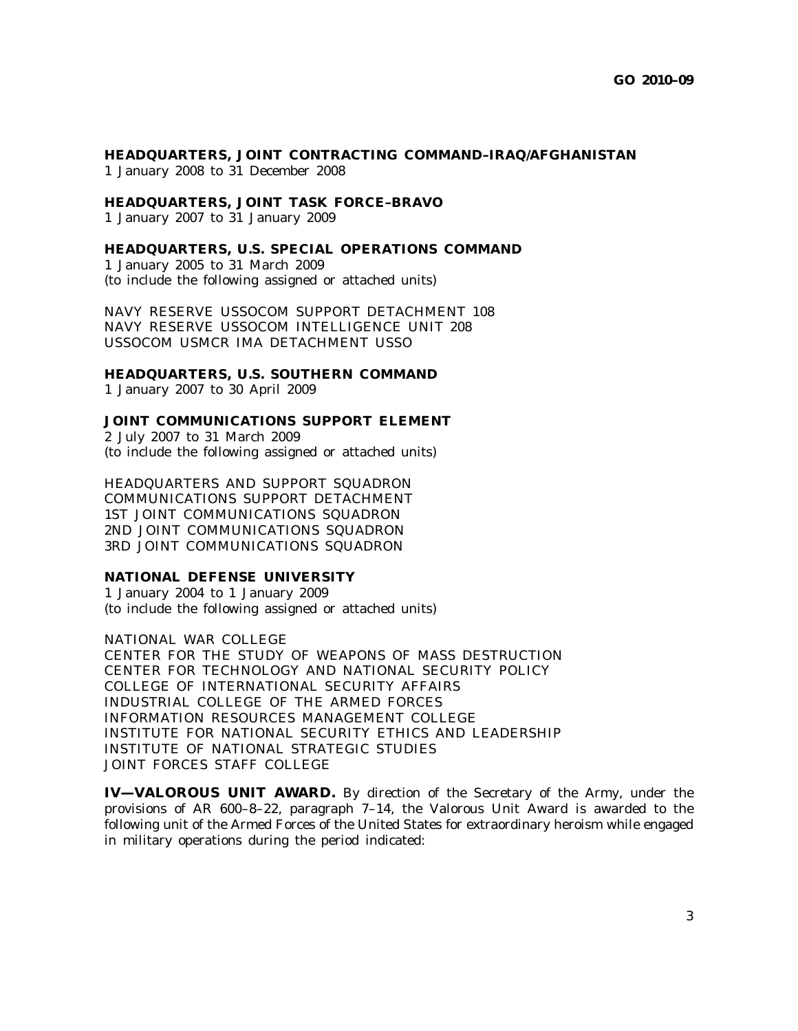# **HEADQUARTERS, JOINT CONTRACTING COMMAND–IRAQ/AFGHANISTAN** 1 January 2008 to 31 December 2008

#### **HEADQUARTERS, JOINT TASK FORCE–BRAVO**

1 January 2007 to 31 January 2009

#### **HEADQUARTERS, U.S. SPECIAL OPERATIONS COMMAND**

1 January 2005 to 31 March 2009 (to include the following assigned or attached units)

NAVY RESERVE USSOCOM SUPPORT DETACHMENT 108 NAVY RESERVE USSOCOM INTELLIGENCE UNIT 208 USSOCOM USMCR IMA DETACHMENT USSO

# **HEADQUARTERS, U.S. SOUTHERN COMMAND**

1 January 2007 to 30 April 2009

# **JOINT COMMUNICATIONS SUPPORT ELEMENT**

2 July 2007 to 31 March 2009 (to include the following assigned or attached units)

HEADQUARTERS AND SUPPORT SQUADRON COMMUNICATIONS SUPPORT DETACHMENT 1ST JOINT COMMUNICATIONS SQUADRON 2ND JOINT COMMUNICATIONS SQUADRON 3RD JOINT COMMUNICATIONS SQUADRON

#### **NATIONAL DEFENSE UNIVERSITY**

1 January 2004 to 1 January 2009 (to include the following assigned or attached units)

NATIONAL WAR COLLEGE CENTER FOR THE STUDY OF WEAPONS OF MASS DESTRUCTION CENTER FOR TECHNOLOGY AND NATIONAL SECURITY POLICY COLLEGE OF INTERNATIONAL SECURITY AFFAIRS INDUSTRIAL COLLEGE OF THE ARMED FORCES INFORMATION RESOURCES MANAGEMENT COLLEGE INSTITUTE FOR NATIONAL SECURITY ETHICS AND LEADERSHIP INSTITUTE OF NATIONAL STRATEGIC STUDIES JOINT FORCES STAFF COLLEGE

**IV—VALOROUS UNIT AWARD.** By direction of the Secretary of the Army, under the provisions of AR  $600-8-22$ , paragraph  $7-14$ , the Valorous Unit Award is awarded to the following unit of the Armed Forces of the United States for extraordinary heroism while engaged in military operations during the period indicated: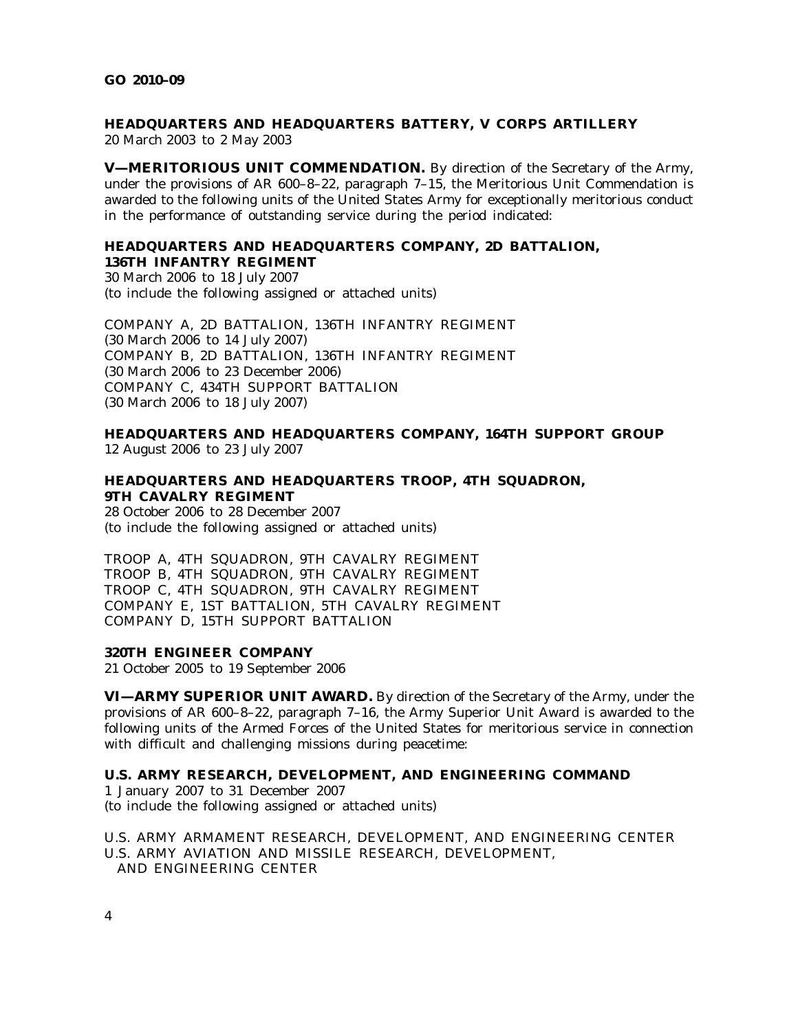# **HEADQUARTERS AND HEADQUARTERS BATTERY, V CORPS ARTILLERY** 20 March 2003 to 2 May 2003

**V—MERITORIOUS UNIT COMMENDATION.** By direction of the Secretary of the Army, under the provisions of AR 600–8–22, paragraph 7–15, the Meritorious Unit Commendation is awarded to the following units of the United States Army for exceptionally meritorious conduct in the performance of outstanding service during the period indicated:

# **HEADQUARTERS AND HEADQUARTERS COMPANY, 2D BATTALION, 136TH INFANTRY REGIMENT**

30 March 2006 to 18 July 2007 (to include the following assigned or attached units)

COMPANY A, 2D BATTALION, 136TH INFANTRY REGIMENT (30 March 2006 to 14 July 2007) COMPANY B, 2D BATTALION, 136TH INFANTRY REGIMENT (30 March 2006 to 23 December 2006) COMPANY C, 434TH SUPPORT BATTALION (30 March 2006 to 18 July 2007)

**HEADQUARTERS AND HEADQUARTERS COMPANY, 164TH SUPPORT GROUP** 12 August 2006 to 23 July 2007

# **HEADQUARTERS AND HEADQUARTERS TROOP, 4TH SQUADRON, 9TH CAVALRY REGIMENT**

28 October 2006 to 28 December 2007 (to include the following assigned or attached units)

TROOP A, 4TH SQUADRON, 9TH CAVALRY REGIMENT TROOP B, 4TH SQUADRON, 9TH CAVALRY REGIMENT TROOP C, 4TH SQUADRON, 9TH CAVALRY REGIMENT COMPANY E, 1ST BATTALION, 5TH CAVALRY REGIMENT COMPANY D, 15TH SUPPORT BATTALION

# **320TH ENGINEER COMPANY**

21 October 2005 to 19 September 2006

**VI—ARMY SUPERIOR UNIT AWARD.** By direction of the Secretary of the Army, under the provisions of AR 600–8–22, paragraph 7–16, the Army Superior Unit Award is awarded to the following units of the Armed Forces of the United States for meritorious service in connection with difficult and challenging missions during peacetime:

# **U.S. ARMY RESEARCH, DEVELOPMENT, AND ENGINEERING COMMAND**

1 January 2007 to 31 December 2007 (to include the following assigned or attached units)

U.S. ARMY ARMAMENT RESEARCH, DEVELOPMENT, AND ENGINEERING CENTER U.S. ARMY AVIATION AND MISSILE RESEARCH, DEVELOPMENT, AND ENGINEERING CENTER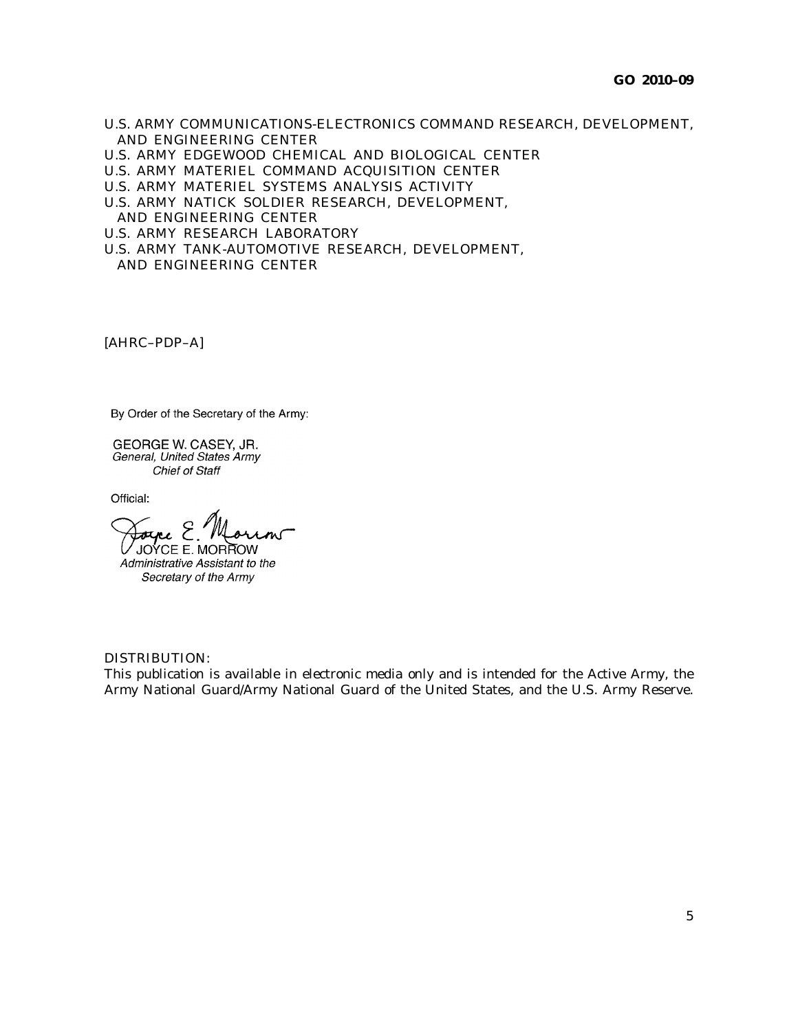- U.S. ARMY COMMUNICATIONS-ELECTRONICS COMMAND RESEARCH, DEVELOPMENT, AND ENGINEERING CENTER
- U.S. ARMY EDGEWOOD CHEMICAL AND BIOLOGICAL CENTER
- U.S. ARMY MATERIEL COMMAND ACQUISITION CENTER
- U.S. ARMY MATERIEL SYSTEMS ANALYSIS ACTIVITY
- U.S. ARMY NATICK SOLDIER RESEARCH, DEVELOPMENT,
- AND ENGINEERING CENTER
- U.S. ARMY RESEARCH LABORATORY
- U.S. ARMY TANK-AUTOMOTIVE RESEARCH, DEVELOPMENT,

AND ENGINEERING CENTER

[AHRC–PDP–A]

By Order of the Secretary of the Army:

GEORGE W. CASEY, JR. General, United States Army Chief of Staff

Official:

V JOYCE E. MORROW

Administrative Assistant to the Secretary of the Army

# DISTRIBUTION:

This publication is available in electronic media only and is intended for the Active Army, the Army National Guard/Army National Guard of the United States, and the U.S. Army Reserve.